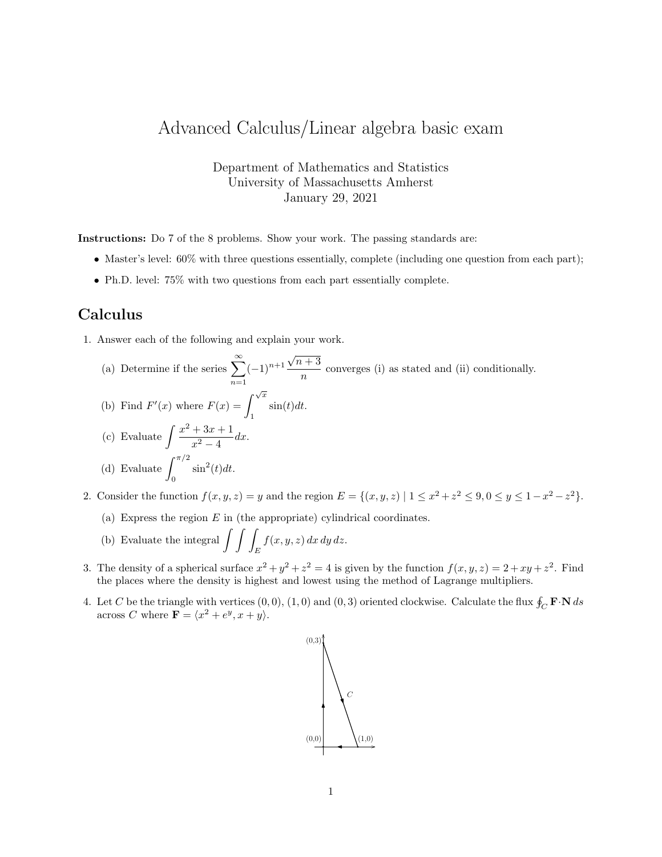## Advanced Calculus/Linear algebra basic exam

Department of Mathematics and Statistics University of Massachusetts Amherst January 29, 2021

Instructions: Do 7 of the 8 problems. Show your work. The passing standards are:

- Master's level: 60% with three questions essentially, complete (including one question from each part);
- Ph.D. level: 75% with two questions from each part essentially complete.

## Calculus

1. Answer each of the following and explain your work.

(a) Determine if the series  $\sum_{n=1}^{\infty}$  $n=1$  $(-1)^{n+1}$  $\sqrt{n+3}$  $\frac{n}{n}$  converges (i) as stated and (ii) conditionally.

(b) Find 
$$
F'(x)
$$
 where  $F(x) = \int_1^{\sqrt{x}} \sin(t)dt$ .

(c) Evaluate 
$$
\int \frac{x^2 + 3x + 1}{x^2 - 4} dx.
$$
  
(d) Evaluate 
$$
\int_0^{\pi/2} \sin^2(t) dt.
$$

- 2. Consider the function  $f(x, y, z) = y$  and the region  $E = \{(x, y, z) | 1 \le x^2 + z^2 \le 9, 0 \le y \le 1 x^2 z^2\}.$ 
	- (a) Express the region  $E$  in (the appropriate) cylindrical coordinates.
	- (b) Evaluate the integral  $\int \int$ E  $f(x, y, z) dx dy dz.$
- 3. The density of a spherical surface  $x^2 + y^2 + z^2 = 4$  is given by the function  $f(x, y, z) = 2 + xy + z^2$ . Find the places where the density is highest and lowest using the method of Lagrange multipliers.
- 4. Let C be the triangle with vertices  $(0,0)$ ,  $(1,0)$  and  $(0,3)$  oriented clockwise. Calculate the flux  $\oint_C \mathbf{F} \cdot \mathbf{N} ds$ across C where  $\mathbf{F} = \langle x^2 + e^y, x + y \rangle$ .